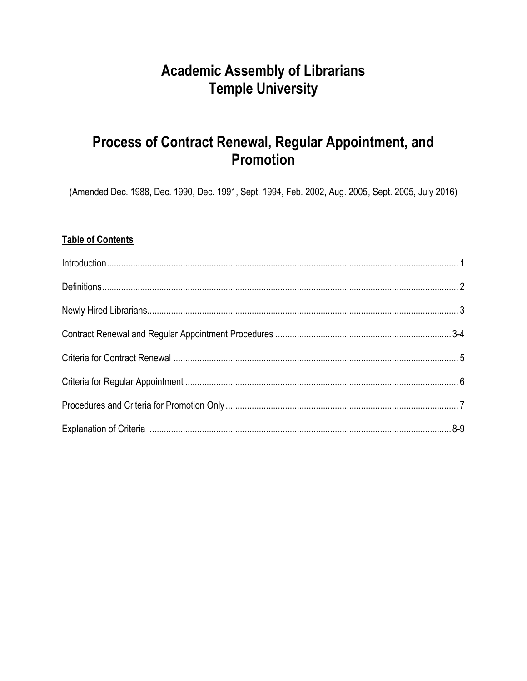# **Academic Assembly of Librarians Temple University**

# Process of Contract Renewal, Regular Appointment, and **Promotion**

(Amended Dec. 1988, Dec. 1990, Dec. 1991, Sept. 1994, Feb. 2002, Aug. 2005, Sept. 2005, July 2016)

# **Table of Contents**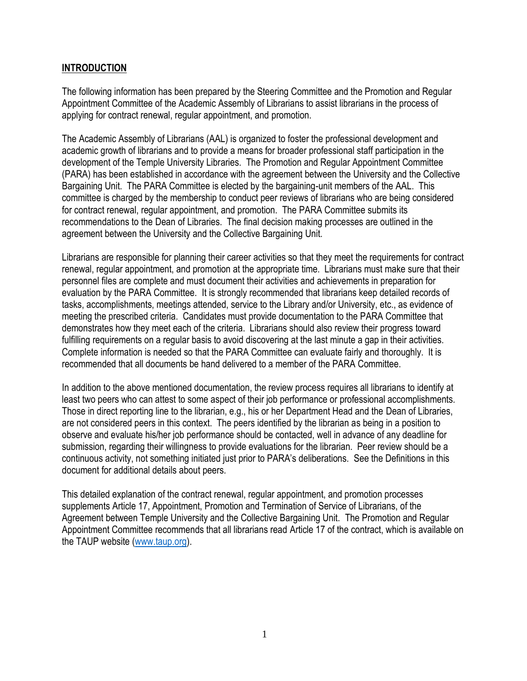## **INTRODUCTION**

The following information has been prepared by the Steering Committee and the Promotion and Regular Appointment Committee of the Academic Assembly of Librarians to assist librarians in the process of applying for contract renewal, regular appointment, and promotion.

The Academic Assembly of Librarians (AAL) is organized to foster the professional development and academic growth of librarians and to provide a means for broader professional staff participation in the development of the Temple University Libraries. The Promotion and Regular Appointment Committee (PARA) has been established in accordance with the agreement between the University and the Collective Bargaining Unit. The PARA Committee is elected by the bargaining-unit members of the AAL. This committee is charged by the membership to conduct peer reviews of librarians who are being considered for contract renewal, regular appointment, and promotion. The PARA Committee submits its recommendations to the Dean of Libraries. The final decision making processes are outlined in the agreement between the University and the Collective Bargaining Unit.

Librarians are responsible for planning their career activities so that they meet the requirements for contract renewal, regular appointment, and promotion at the appropriate time. Librarians must make sure that their personnel files are complete and must document their activities and achievements in preparation for evaluation by the PARA Committee. It is strongly recommended that librarians keep detailed records of tasks, accomplishments, meetings attended, service to the Library and/or University, etc., as evidence of meeting the prescribed criteria. Candidates must provide documentation to the PARA Committee that demonstrates how they meet each of the criteria. Librarians should also review their progress toward fulfilling requirements on a regular basis to avoid discovering at the last minute a gap in their activities. Complete information is needed so that the PARA Committee can evaluate fairly and thoroughly. It is recommended that all documents be hand delivered to a member of the PARA Committee.

In addition to the above mentioned documentation, the review process requires all librarians to identify at least two peers who can attest to some aspect of their job performance or professional accomplishments. Those in direct reporting line to the librarian, e.g., his or her Department Head and the Dean of Libraries, are not considered peers in this context. The peers identified by the librarian as being in a position to observe and evaluate his/her job performance should be contacted, well in advance of any deadline for submission, regarding their willingness to provide evaluations for the librarian. Peer review should be a continuous activity, not something initiated just prior to PARA's deliberations. See the Definitions in this document for additional details about peers.

This detailed explanation of the contract renewal, regular appointment, and promotion processes supplements Article 17, Appointment, Promotion and Termination of Service of Librarians, of the Agreement between Temple University and the Collective Bargaining Unit. The Promotion and Regular Appointment Committee recommends that all librarians read Article 17 of the contract, which is available on the TAUP website [\(www.taup.org\)](http://www.taup.org/).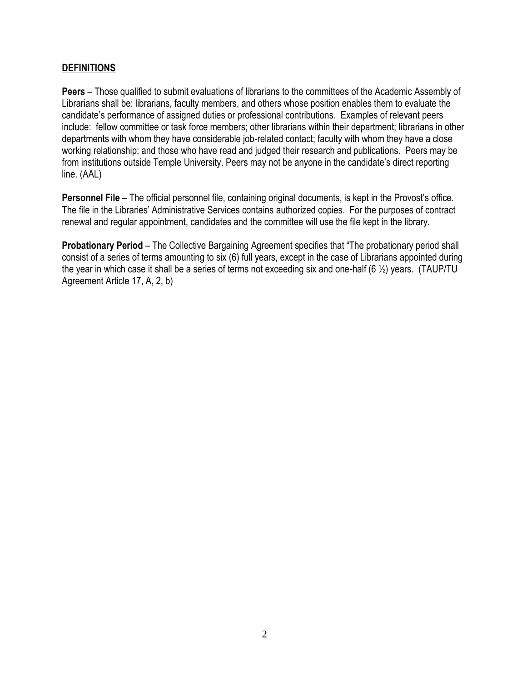## **DEFINITIONS**

**Peers** – Those qualified to submit evaluations of librarians to the committees of the Academic Assembly of Librarians shall be: librarians, faculty members, and others whose position enables them to evaluate the candidate's performance of assigned duties or professional contributions. Examples of relevant peers include: fellow committee or task force members; other librarians within their department; librarians in other departments with whom they have considerable job-related contact; faculty with whom they have a close working relationship; and those who have read and judged their research and publications. Peers may be from institutions outside Temple University. Peers may not be anyone in the candidate's direct reporting line. (AAL)

**Personnel File** – The official personnel file, containing original documents, is kept in the Provost's office. The file in the Libraries' Administrative Services contains authorized copies. For the purposes of contract renewal and regular appointment, candidates and the committee will use the file kept in the library.

**Probationary Period** – The Collective Bargaining Agreement specifies that "The probationary period shall consist of a series of terms amounting to six (6) full years, except in the case of Librarians appointed during the year in which case it shall be a series of terms not exceeding six and one-half (6 ½) years. (TAUP/TU Agreement Article 17, A, 2, b)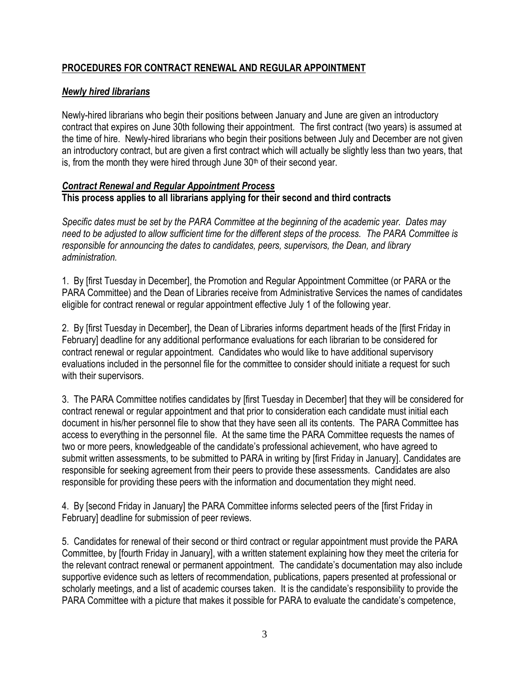# **PROCEDURES FOR CONTRACT RENEWAL AND REGULAR APPOINTMENT**

# *Newly hired librarians*

Newly-hired librarians who begin their positions between January and June are given an introductory contract that expires on June 30th following their appointment. The first contract (two years) is assumed at the time of hire. Newly-hired librarians who begin their positions between July and December are not given an introductory contract, but are given a first contract which will actually be slightly less than two years, that is, from the month they were hired through June  $30<sup>th</sup>$  of their second year.

### *Contract Renewal and Regular Appointment Process* **This process applies to all librarians applying for their second and third contracts**

*Specific dates must be set by the PARA Committee at the beginning of the academic year. Dates may need to be adjusted to allow sufficient time for the different steps of the process. The PARA Committee is responsible for announcing the dates to candidates, peers, supervisors, the Dean, and library administration.*

1. By [first Tuesday in December], the Promotion and Regular Appointment Committee (or PARA or the PARA Committee) and the Dean of Libraries receive from Administrative Services the names of candidates eligible for contract renewal or regular appointment effective July 1 of the following year.

2. By [first Tuesday in December], the Dean of Libraries informs department heads of the [first Friday in February] deadline for any additional performance evaluations for each librarian to be considered for contract renewal or regular appointment. Candidates who would like to have additional supervisory evaluations included in the personnel file for the committee to consider should initiate a request for such with their supervisors.

3. The PARA Committee notifies candidates by [first Tuesday in December] that they will be considered for contract renewal or regular appointment and that prior to consideration each candidate must initial each document in his/her personnel file to show that they have seen all its contents. The PARA Committee has access to everything in the personnel file. At the same time the PARA Committee requests the names of two or more peers, knowledgeable of the candidate's professional achievement, who have agreed to submit written assessments, to be submitted to PARA in writing by [first Friday in January]. Candidates are responsible for seeking agreement from their peers to provide these assessments. Candidates are also responsible for providing these peers with the information and documentation they might need.

4. By [second Friday in January] the PARA Committee informs selected peers of the [first Friday in February] deadline for submission of peer reviews.

5. Candidates for renewal of their second or third contract or regular appointment must provide the PARA Committee, by [fourth Friday in January], with a written statement explaining how they meet the criteria for the relevant contract renewal or permanent appointment. The candidate's documentation may also include supportive evidence such as letters of recommendation, publications, papers presented at professional or scholarly meetings, and a list of academic courses taken. It is the candidate's responsibility to provide the PARA Committee with a picture that makes it possible for PARA to evaluate the candidate's competence,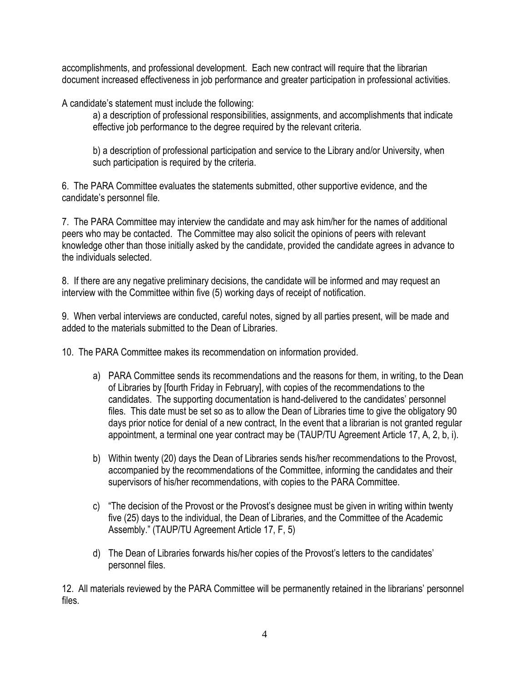accomplishments, and professional development. Each new contract will require that the librarian document increased effectiveness in job performance and greater participation in professional activities.

A candidate's statement must include the following:

a) a description of professional responsibilities, assignments, and accomplishments that indicate effective job performance to the degree required by the relevant criteria.

b) a description of professional participation and service to the Library and/or University, when such participation is required by the criteria.

6. The PARA Committee evaluates the statements submitted, other supportive evidence, and the candidate's personnel file.

7. The PARA Committee may interview the candidate and may ask him/her for the names of additional peers who may be contacted. The Committee may also solicit the opinions of peers with relevant knowledge other than those initially asked by the candidate, provided the candidate agrees in advance to the individuals selected.

8. If there are any negative preliminary decisions, the candidate will be informed and may request an interview with the Committee within five (5) working days of receipt of notification.

9. When verbal interviews are conducted, careful notes, signed by all parties present, will be made and added to the materials submitted to the Dean of Libraries.

10. The PARA Committee makes its recommendation on information provided.

- a) PARA Committee sends its recommendations and the reasons for them, in writing, to the Dean of Libraries by [fourth Friday in February], with copies of the recommendations to the candidates. The supporting documentation is hand-delivered to the candidates' personnel files. This date must be set so as to allow the Dean of Libraries time to give the obligatory 90 days prior notice for denial of a new contract, In the event that a librarian is not granted regular appointment, a terminal one year contract may be (TAUP/TU Agreement Article 17, A, 2, b, i).
- b) Within twenty (20) days the Dean of Libraries sends his/her recommendations to the Provost, accompanied by the recommendations of the Committee, informing the candidates and their supervisors of his/her recommendations, with copies to the PARA Committee.
- c) "The decision of the Provost or the Provost's designee must be given in writing within twenty five (25) days to the individual, the Dean of Libraries, and the Committee of the Academic Assembly." (TAUP/TU Agreement Article 17, F, 5)
- d) The Dean of Libraries forwards his/her copies of the Provost's letters to the candidates' personnel files.

12. All materials reviewed by the PARA Committee will be permanently retained in the librarians' personnel files.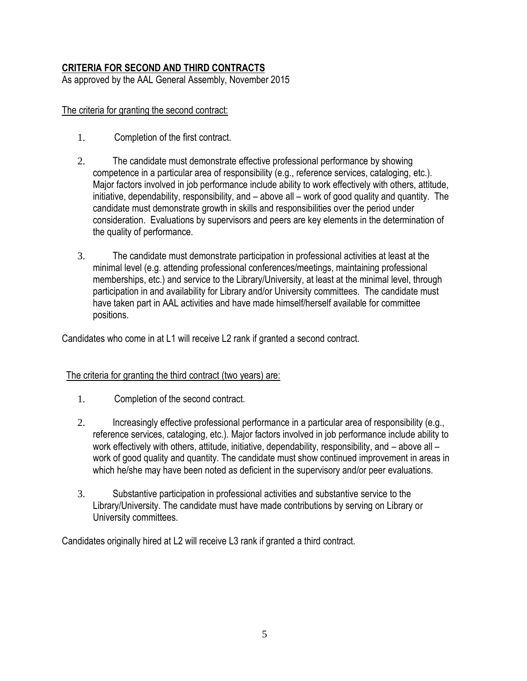# **CRITERIA FOR SECOND AND THIRD CONTRACTS**

As approved by the AAL General Assembly, November 2015

## The criteria for granting the second contract:

- 1. Completion of the first contract.
- 2. The candidate must demonstrate effective professional performance by showing competence in a particular area of responsibility (e.g., reference services, cataloging, etc.). Major factors involved in job performance include ability to work effectively with others, attitude, initiative, dependability, responsibility, and – above all – work of good quality and quantity. The candidate must demonstrate growth in skills and responsibilities over the period under consideration. Evaluations by supervisors and peers are key elements in the determination of the quality of performance.
- 3. The candidate must demonstrate participation in professional activities at least at the minimal level (e.g. attending professional conferences/meetings, maintaining professional memberships, etc.) and service to the Library/University, at least at the minimal level, through participation in and availability for Library and/or University committees. The candidate must have taken part in AAL activities and have made himself/herself available for committee positions.

Candidates who come in at L1 will receive L2 rank if granted a second contract.

## The criteria for granting the third contract (two years) are:

- 1. Completion of the second contract.
- 2. Increasingly effective professional performance in a particular area of responsibility (e.g., reference services, cataloging, etc.). Major factors involved in job performance include ability to work effectively with others, attitude, initiative, dependability, responsibility, and – above all – work of good quality and quantity. The candidate must show continued improvement in areas in which he/she may have been noted as deficient in the supervisory and/or peer evaluations.
- 3. Substantive participation in professional activities and substantive service to the Library/University. The candidate must have made contributions by serving on Library or University committees.

Candidates originally hired at L2 will receive L3 rank if granted a third contract.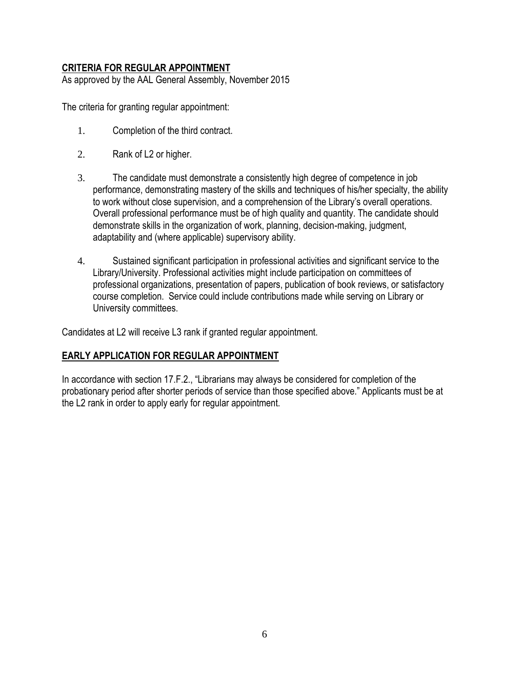# **CRITERIA FOR REGULAR APPOINTMENT**

As approved by the AAL General Assembly, November 2015

The criteria for granting regular appointment:

- 1. Completion of the third contract.
- 2. Rank of L2 or higher.
- 3. The candidate must demonstrate a consistently high degree of competence in job performance, demonstrating mastery of the skills and techniques of his/her specialty, the ability to work without close supervision, and a comprehension of the Library's overall operations. Overall professional performance must be of high quality and quantity. The candidate should demonstrate skills in the organization of work, planning, decision-making, judgment, adaptability and (where applicable) supervisory ability.
- 4. Sustained significant participation in professional activities and significant service to the Library/University. Professional activities might include participation on committees of professional organizations, presentation of papers, publication of book reviews, or satisfactory course completion. Service could include contributions made while serving on Library or University committees.

Candidates at L2 will receive L3 rank if granted regular appointment.

#### **EARLY APPLICATION FOR REGULAR APPOINTMENT**

In accordance with section 17.F.2., "Librarians may always be considered for completion of the probationary period after shorter periods of service than those specified above." Applicants must be at the L2 rank in order to apply early for regular appointment.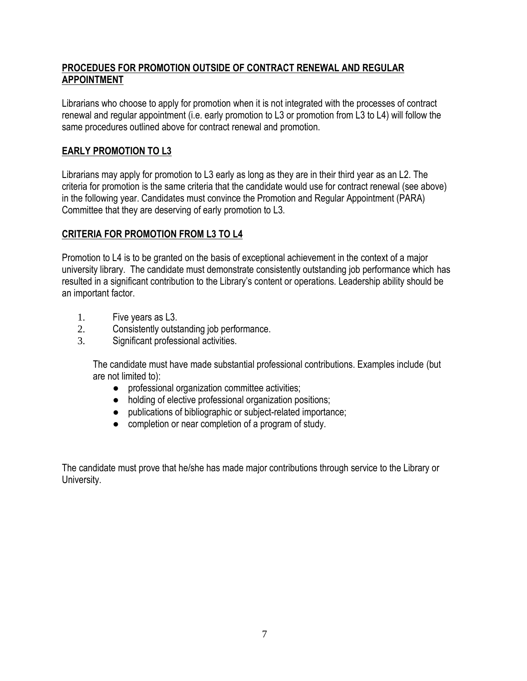# **PROCEDUES FOR PROMOTION OUTSIDE OF CONTRACT RENEWAL AND REGULAR APPOINTMENT**

Librarians who choose to apply for promotion when it is not integrated with the processes of contract renewal and regular appointment (i.e. early promotion to L3 or promotion from L3 to L4) will follow the same procedures outlined above for contract renewal and promotion.

# **EARLY PROMOTION TO L3**

Librarians may apply for promotion to L3 early as long as they are in their third year as an L2. The criteria for promotion is the same criteria that the candidate would use for contract renewal (see above) in the following year. Candidates must convince the Promotion and Regular Appointment (PARA) Committee that they are deserving of early promotion to L3.

# **CRITERIA FOR PROMOTION FROM L3 TO L4**

Promotion to L4 is to be granted on the basis of exceptional achievement in the context of a major university library. The candidate must demonstrate consistently outstanding job performance which has resulted in a significant contribution to the Library's content or operations. Leadership ability should be an important factor.

- 1. Five years as L3.
- 2. Consistently outstanding job performance.
- 3. Significant professional activities.

The candidate must have made substantial professional contributions. Examples include (but are not limited to):

- professional organization committee activities;
- holding of elective professional organization positions;
- publications of bibliographic or subject-related importance;
- completion or near completion of a program of study.

The candidate must prove that he/she has made major contributions through service to the Library or University.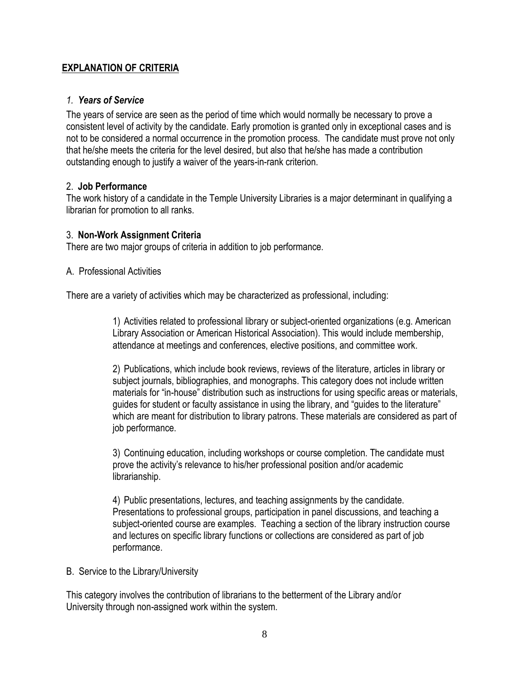## **EXPLANATION OF CRITERIA**

### *1. Years of Service*

The years of service are seen as the period of time which would normally be necessary to prove a consistent level of activity by the candidate. Early promotion is granted only in exceptional cases and is not to be considered a normal occurrence in the promotion process. The candidate must prove not only that he/she meets the criteria for the level desired, but also that he/she has made a contribution outstanding enough to justify a waiver of the years-in-rank criterion.

#### 2. **Job Performance**

The work history of a candidate in the Temple University Libraries is a major determinant in qualifying a librarian for promotion to all ranks.

#### 3. **Non-Work Assignment Criteria**

There are two major groups of criteria in addition to job performance.

#### A. Professional Activities

There are a variety of activities which may be characterized as professional, including:

1) Activities related to professional library or subject-oriented organizations (e.g. American Library Association or American Historical Association). This would include membership, attendance at meetings and conferences, elective positions, and committee work.

2) Publications, which include book reviews, reviews of the literature, articles in library or subject journals, bibliographies, and monographs. This category does not include written materials for "in-house" distribution such as instructions for using specific areas or materials, guides for student or faculty assistance in using the library, and "guides to the literature" which are meant for distribution to library patrons. These materials are considered as part of job performance.

3) Continuing education, including workshops or course completion. The candidate must prove the activity's relevance to his/her professional position and/or academic librarianship.

4) Public presentations, lectures, and teaching assignments by the candidate. Presentations to professional groups, participation in panel discussions, and teaching a subject-oriented course are examples. Teaching a section of the library instruction course and lectures on specific library functions or collections are considered as part of job performance.

## B. Service to the Library/University

This category involves the contribution of librarians to the betterment of the Library and/or University through non-assigned work within the system.